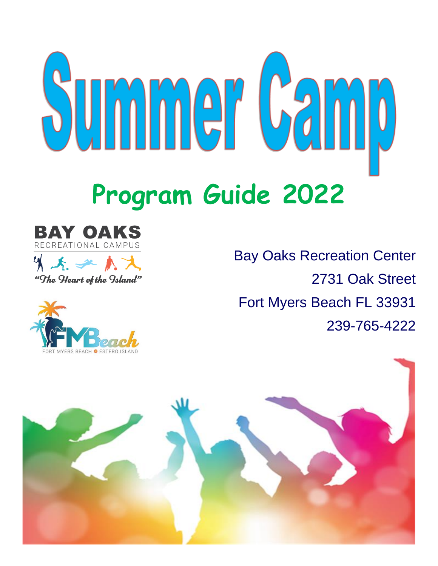





Bay Oaks Recreation Center 2731 Oak Street Fort Myers Beach FL 33931 239-765-4222

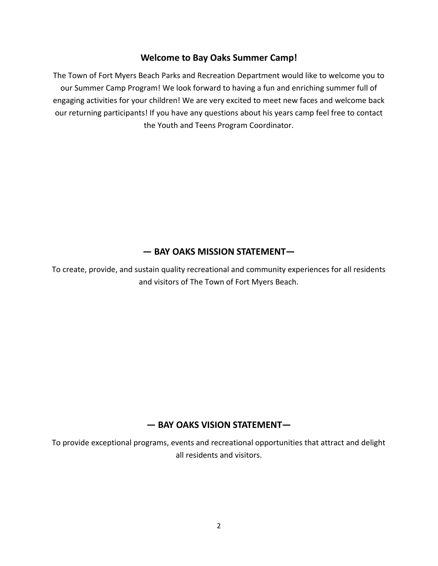#### **Welcome to Bay Oaks Summer Camp!**

The Town of Fort Myers Beach Parks and Recreation Department would like to welcome you to our Summer Camp Program! We look forward to having a fun and enriching summer full of engaging activities for your children! We are very excited to meet new faces and welcome back our returning participants! If you have any questions about his years camp feel free to contact the Youth and Teens Program Coordinator.

# **— BAY OAKS MISSION STATEMENT—**

To create, provide, and sustain quality recreational and community experiences for all residents and visitors of The Town of Fort Myers Beach.

# **— BAY OAKS VISION STATEMENT—**

To provide exceptional programs, events and recreational opportunities that attract and delight all residents and visitors.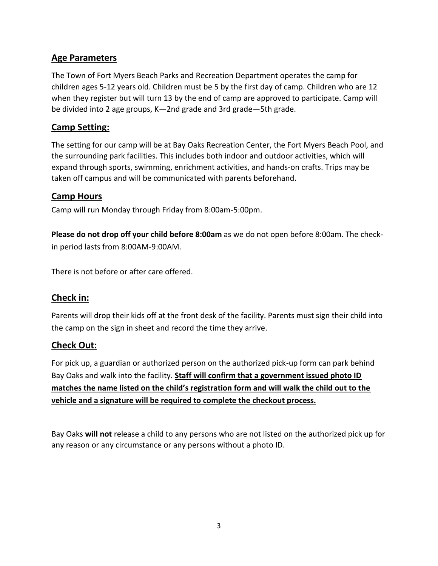# **Age Parameters**

The Town of Fort Myers Beach Parks and Recreation Department operates the camp for children ages 5-12 years old. Children must be 5 by the first day of camp. Children who are 12 when they register but will turn 13 by the end of camp are approved to participate. Camp will be divided into 2 age groups, K—2nd grade and 3rd grade—5th grade.

# **Camp Setting:**

The setting for our camp will be at Bay Oaks Recreation Center, the Fort Myers Beach Pool, and the surrounding park facilities. This includes both indoor and outdoor activities, which will expand through sports, swimming, enrichment activities, and hands-on crafts. Trips may be taken off campus and will be communicated with parents beforehand.

# **Camp Hours**

Camp will run Monday through Friday from 8:00am-5:00pm.

**Please do not drop off your child before 8:00am** as we do not open before 8:00am. The checkin period lasts from 8:00AM-9:00AM.

There is not before or after care offered.

# **Check in:**

Parents will drop their kids off at the front desk of the facility. Parents must sign their child into the camp on the sign in sheet and record the time they arrive.

# **Check Out:**

For pick up, a guardian or authorized person on the authorized pick-up form can park behind Bay Oaks and walk into the facility. **Staff will confirm that a government issued photo ID matches the name listed on the child's registration form and will walk the child out to the vehicle and a signature will be required to complete the checkout process.** 

Bay Oaks **will not** release a child to any persons who are not listed on the authorized pick up for any reason or any circumstance or any persons without a photo ID.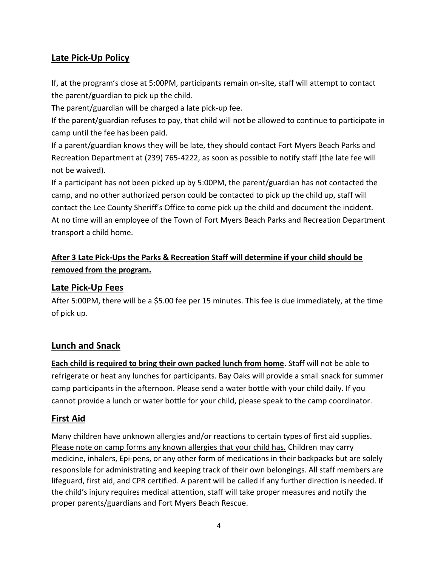# **Late Pick-Up Policy**

If, at the program's close at 5:00PM, participants remain on-site, staff will attempt to contact the parent/guardian to pick up the child.

The parent/guardian will be charged a late pick-up fee.

If the parent/guardian refuses to pay, that child will not be allowed to continue to participate in camp until the fee has been paid.

If a parent/guardian knows they will be late, they should contact Fort Myers Beach Parks and Recreation Department at (239) 765-4222, as soon as possible to notify staff (the late fee will not be waived).

If a participant has not been picked up by 5:00PM, the parent/guardian has not contacted the camp, and no other authorized person could be contacted to pick up the child up, staff will contact the Lee County Sheriff's Office to come pick up the child and document the incident. At no time will an employee of the Town of Fort Myers Beach Parks and Recreation Department transport a child home.

# **After 3 Late Pick-Ups the Parks & Recreation Staff will determine if your child should be removed from the program.**

#### **Late Pick-Up Fees**

After 5:00PM, there will be a \$5.00 fee per 15 minutes. This fee is due immediately, at the time of pick up.

#### **Lunch and Snack**

**Each child is required to bring their own packed lunch from home**. Staff will not be able to refrigerate or heat any lunches for participants. Bay Oaks will provide a small snack for summer camp participants in the afternoon. Please send a water bottle with your child daily. If you cannot provide a lunch or water bottle for your child, please speak to the camp coordinator.

# **First Aid**

Many children have unknown allergies and/or reactions to certain types of first aid supplies. Please note on camp forms any known allergies that your child has. Children may carry medicine, inhalers, Epi-pens, or any other form of medications in their backpacks but are solely responsible for administrating and keeping track of their own belongings. All staff members are lifeguard, first aid, and CPR certified. A parent will be called if any further direction is needed. If the child's injury requires medical attention, staff will take proper measures and notify the proper parents/guardians and Fort Myers Beach Rescue.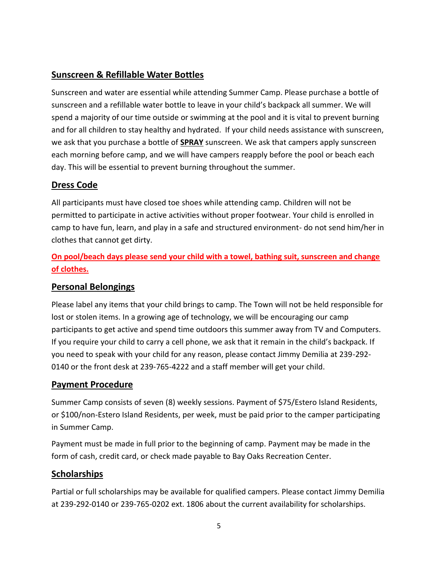# **Sunscreen & Refillable Water Bottles**

Sunscreen and water are essential while attending Summer Camp. Please purchase a bottle of sunscreen and a refillable water bottle to leave in your child's backpack all summer. We will spend a majority of our time outside or swimming at the pool and it is vital to prevent burning and for all children to stay healthy and hydrated. If your child needs assistance with sunscreen, we ask that you purchase a bottle of **SPRAY** sunscreen. We ask that campers apply sunscreen each morning before camp, and we will have campers reapply before the pool or beach each day. This will be essential to prevent burning throughout the summer.

# **Dress Code**

All participants must have closed toe shoes while attending camp. Children will not be permitted to participate in active activities without proper footwear. Your child is enrolled in camp to have fun, learn, and play in a safe and structured environment- do not send him/her in clothes that cannot get dirty.

**On pool/beach days please send your child with a towel, bathing suit, sunscreen and change of clothes.**

#### **Personal Belongings**

Please label any items that your child brings to camp. The Town will not be held responsible for lost or stolen items. In a growing age of technology, we will be encouraging our camp participants to get active and spend time outdoors this summer away from TV and Computers. If you require your child to carry a cell phone, we ask that it remain in the child's backpack. If you need to speak with your child for any reason, please contact Jimmy Demilia at 239-292- 0140 or the front desk at 239-765-4222 and a staff member will get your child.

#### **Payment Procedure**

Summer Camp consists of seven (8) weekly sessions. Payment of \$75/Estero Island Residents, or \$100/non-Estero Island Residents, per week, must be paid prior to the camper participating in Summer Camp.

Payment must be made in full prior to the beginning of camp. Payment may be made in the form of cash, credit card, or check made payable to Bay Oaks Recreation Center.

# **Scholarships**

Partial or full scholarships may be available for qualified campers. Please contact Jimmy Demilia at 239-292-0140 or 239-765-0202 ext. 1806 about the current availability for scholarships.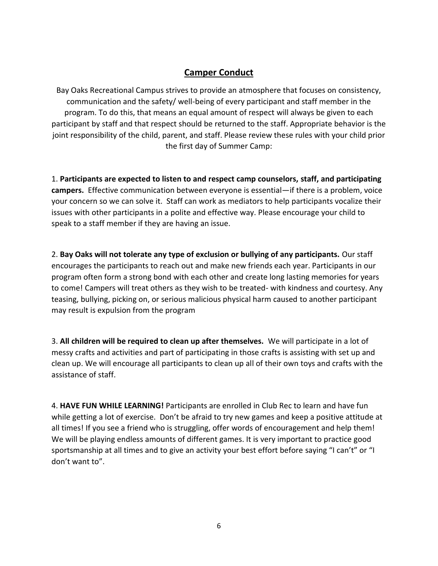# **Camper Conduct**

Bay Oaks Recreational Campus strives to provide an atmosphere that focuses on consistency, communication and the safety/ well-being of every participant and staff member in the program. To do this, that means an equal amount of respect will always be given to each participant by staff and that respect should be returned to the staff. Appropriate behavior is the joint responsibility of the child, parent, and staff. Please review these rules with your child prior the first day of Summer Camp:

1. **Participants are expected to listen to and respect camp counselors, staff, and participating campers.** Effective communication between everyone is essential—if there is a problem, voice your concern so we can solve it. Staff can work as mediators to help participants vocalize their issues with other participants in a polite and effective way. Please encourage your child to speak to a staff member if they are having an issue.

2. **Bay Oaks will not tolerate any type of exclusion or bullying of any participants.** Our staff encourages the participants to reach out and make new friends each year. Participants in our program often form a strong bond with each other and create long lasting memories for years to come! Campers will treat others as they wish to be treated- with kindness and courtesy. Any teasing, bullying, picking on, or serious malicious physical harm caused to another participant may result is expulsion from the program

3. **All children will be required to clean up after themselves.** We will participate in a lot of messy crafts and activities and part of participating in those crafts is assisting with set up and clean up. We will encourage all participants to clean up all of their own toys and crafts with the assistance of staff.

4. **HAVE FUN WHILE LEARNING!** Participants are enrolled in Club Rec to learn and have fun while getting a lot of exercise. Don't be afraid to try new games and keep a positive attitude at all times! If you see a friend who is struggling, offer words of encouragement and help them! We will be playing endless amounts of different games. It is very important to practice good sportsmanship at all times and to give an activity your best effort before saying "I can't" or "I don't want to".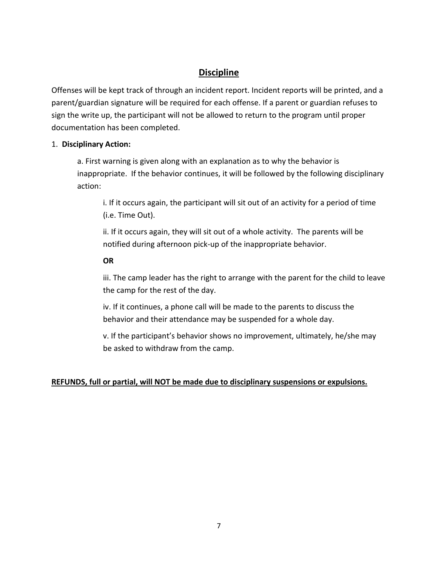# **Discipline**

Offenses will be kept track of through an incident report. Incident reports will be printed, and a parent/guardian signature will be required for each offense. If a parent or guardian refuses to sign the write up, the participant will not be allowed to return to the program until proper documentation has been completed.

#### 1. **Disciplinary Action:**

a. First warning is given along with an explanation as to why the behavior is inappropriate. If the behavior continues, it will be followed by the following disciplinary action:

i. If it occurs again, the participant will sit out of an activity for a period of time (i.e. Time Out).

ii. If it occurs again, they will sit out of a whole activity. The parents will be notified during afternoon pick-up of the inappropriate behavior.

#### **OR**

iii. The camp leader has the right to arrange with the parent for the child to leave the camp for the rest of the day.

iv. If it continues, a phone call will be made to the parents to discuss the behavior and their attendance may be suspended for a whole day.

v. If the participant's behavior shows no improvement, ultimately, he/she may be asked to withdraw from the camp.

#### **REFUNDS, full or partial, will NOT be made due to disciplinary suspensions or expulsions.**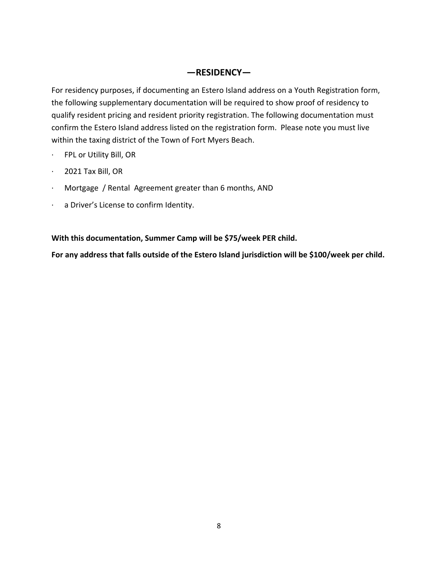#### **—RESIDENCY—**

For residency purposes, if documenting an Estero Island address on a Youth Registration form, the following supplementary documentation will be required to show proof of residency to qualify resident pricing and resident priority registration. The following documentation must confirm the Estero Island address listed on the registration form. Please note you must live within the taxing district of the Town of Fort Myers Beach.

- · FPL or Utility Bill, OR
- · 2021 Tax Bill, OR
- · Mortgage / Rental Agreement greater than 6 months, AND
- · a Driver's License to confirm Identity.

**With this documentation, Summer Camp will be \$75/week PER child.** 

**For any address that falls outside of the Estero Island jurisdiction will be \$100/week per child.**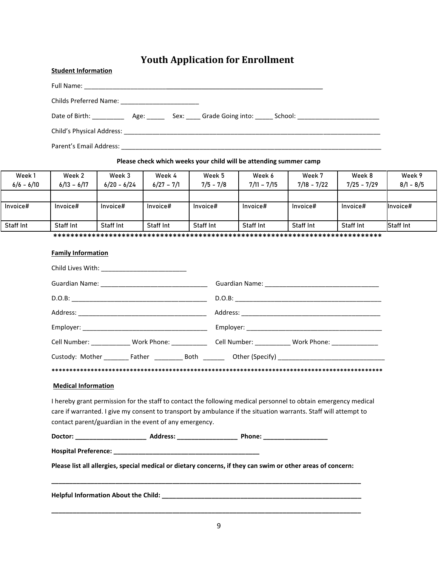# **Youth Application for Enrollment**

| <b>Student Information</b>                                         |  |
|--------------------------------------------------------------------|--|
|                                                                    |  |
|                                                                    |  |
|                                                                    |  |
|                                                                    |  |
| Parent's Email Address: 2008. 2009. [2010] Parent's Email Address: |  |

#### **Please check which weeks your child will be attending summer camp**

| Week 1           | Week 2           | Week 3        | Week 4           | Week 5           | Week 6           | Week 7           | Week 8           | Week 9           |
|------------------|------------------|---------------|------------------|------------------|------------------|------------------|------------------|------------------|
| $6/6 - 6/10$     | $6/13 - 6/17$    | $6/20 - 6/24$ | $6/27 - 7/1$     | $7/5 - 7/8$      | $7/11 - 7/15$    | $7/18 - 7/22$    | $7/25 - 7/29$    | $8/1 - 8/5$      |
|                  |                  |               |                  |                  |                  |                  |                  |                  |
| Invoice#         | Invoice#         | Invoice#      | Invoice#         | Invoice#         | Invoice#         | Invoice#         | Invoice#         | Invoice#         |
|                  |                  |               |                  |                  |                  |                  |                  |                  |
| <b>Staff Int</b> | <b>Staff Int</b> | Staff Int     | <b>Staff Int</b> | <b>Staff Int</b> | <b>Staff Int</b> | <b>Staff Int</b> | <b>Staff Int</b> | <b>Staff Int</b> |

**\*\*\*\*\*\*\*\*\*\*\*\*\*\*\*\*\*\*\*\*\*\*\*\*\*\*\*\*\*\*\*\*\*\*\*\*\*\*\*\*\*\*\*\*\*\*\*\*\*\*\*\*\*\*\*\*\*\*\*\*\*\*\*\*\*\*\*\*\*\*\*\*\*\*\*\*\***

#### **Family Information**

| Child Lives With: ______________________________                                                                                                                          |                                                                                                                |
|---------------------------------------------------------------------------------------------------------------------------------------------------------------------------|----------------------------------------------------------------------------------------------------------------|
|                                                                                                                                                                           |                                                                                                                |
|                                                                                                                                                                           |                                                                                                                |
|                                                                                                                                                                           |                                                                                                                |
|                                                                                                                                                                           |                                                                                                                |
|                                                                                                                                                                           | Cell Number: _______________ Work Phone: _______________ Cell Number: ____________ Work Phone: ______________  |
|                                                                                                                                                                           |                                                                                                                |
|                                                                                                                                                                           |                                                                                                                |
|                                                                                                                                                                           |                                                                                                                |
| <b>Medical Information</b>                                                                                                                                                |                                                                                                                |
| care if warranted. I give my consent to transport by ambulance if the situation warrants. Staff will attempt to<br>contact parent/guardian in the event of any emergency. | I hereby grant permission for the staff to contact the following medical personnel to obtain emergency medical |
|                                                                                                                                                                           |                                                                                                                |
|                                                                                                                                                                           |                                                                                                                |
| Please list all allergies, special medical or dietary concerns, if they can swim or other areas of concern:                                                               |                                                                                                                |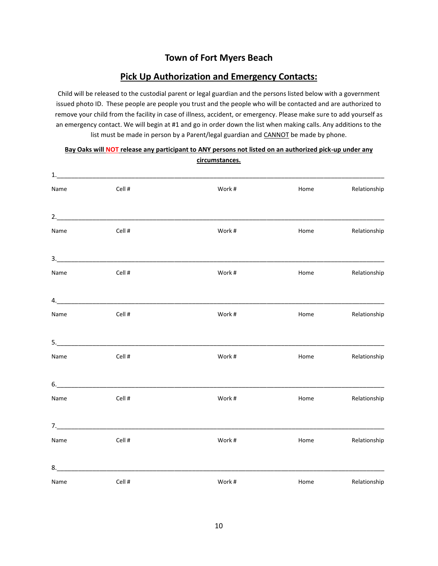#### **Town of Fort Myers Beach**

#### **Pick Up Authorization and Emergency Contacts:**

Child will be released to the custodial parent or legal guardian and the persons listed below with a government issued photo ID. These people are people you trust and the people who will be contacted and are authorized to remove your child from the facility in case of illness, accident, or emergency. Please make sure to add yourself as an emergency contact. We will begin at #1 and go in order down the list when making calls. Any additions to the list must be made in person by a Parent/legal guardian and CANNOT be made by phone.

| Name | Cell #           | Work # | Home | Relationship |
|------|------------------|--------|------|--------------|
|      | 2.               |        |      |              |
| Name | Cell #           | Work # | Home | Relationship |
|      |                  |        |      |              |
| Name | Cell #           | Work # | Home | Relationship |
|      | $\overline{a}$ . |        |      |              |
| Name | Cell #           | Work # | Home | Relationship |
|      |                  |        |      |              |
| Name | Cell #           | Work # | Home | Relationship |
|      | 6.               |        |      |              |
| Name | Cell #           | Work # | Home | Relationship |
|      | 7.               |        |      |              |
| Name | Cell #           | Work # | Home | Relationship |
| 8.   |                  |        |      |              |
| Name | Cell #           | Work # | Home | Relationship |

#### **Bay Oaks will NOT release any participant to ANY persons not listed on an authorized pick-up under any circumstances.**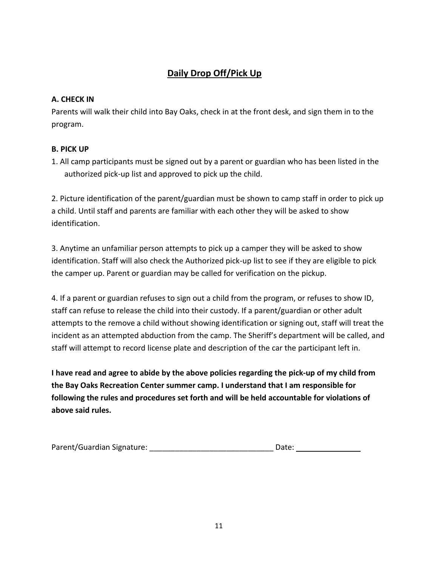# **Daily Drop Off/Pick Up**

#### **A. CHECK IN**

Parents will walk their child into Bay Oaks, check in at the front desk, and sign them in to the program.

#### **B. PICK UP**

1. All camp participants must be signed out by a parent or guardian who has been listed in the authorized pick-up list and approved to pick up the child.

2. Picture identification of the parent/guardian must be shown to camp staff in order to pick up a child. Until staff and parents are familiar with each other they will be asked to show identification.

3. Anytime an unfamiliar person attempts to pick up a camper they will be asked to show identification. Staff will also check the Authorized pick-up list to see if they are eligible to pick the camper up. Parent or guardian may be called for verification on the pickup.

4. If a parent or guardian refuses to sign out a child from the program, or refuses to show ID, staff can refuse to release the child into their custody. If a parent/guardian or other adult attempts to the remove a child without showing identification or signing out, staff will treat the incident as an attempted abduction from the camp. The Sheriff's department will be called, and staff will attempt to record license plate and description of the car the participant left in.

**I have read and agree to abide by the above policies regarding the pick-up of my child from the Bay Oaks Recreation Center summer camp. I understand that I am responsible for following the rules and procedures set forth and will be held accountable for violations of above said rules.**

| Parent/Guardian Signature: |  | Date: |
|----------------------------|--|-------|
|----------------------------|--|-------|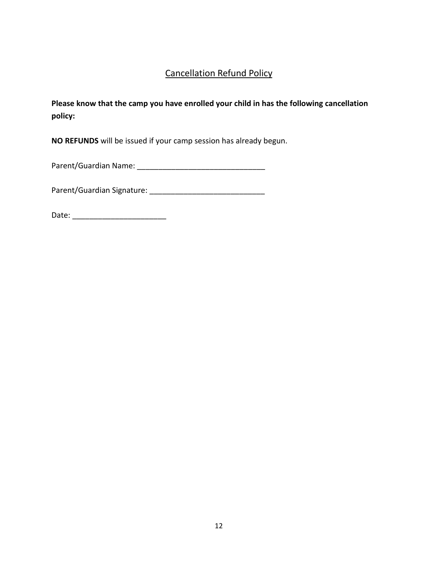# Cancellation Refund Policy

**Please know that the camp you have enrolled your child in has the following cancellation policy:**

**NO REFUNDS** will be issued if your camp session has already begun.

Parent/Guardian Name: \_\_\_\_\_\_\_\_\_\_\_\_\_\_\_\_\_\_\_\_\_\_\_\_\_\_\_\_\_\_

Parent/Guardian Signature: \_\_\_\_\_\_\_\_\_\_\_\_\_\_\_\_\_\_\_\_\_\_\_\_\_\_\_

Date: \_\_\_\_\_\_\_\_\_\_\_\_\_\_\_\_\_\_\_\_\_\_